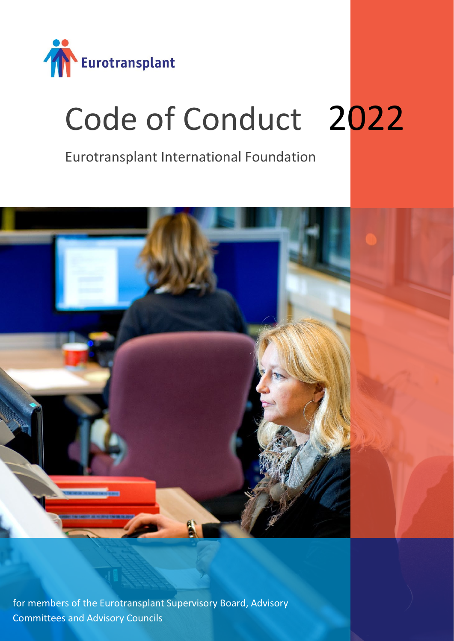

# Code of Conduct 2022

Eurotransplant International Foundation



for members of the Eurotransplant Supervisory Board, Advisory Committees and Advisory Councils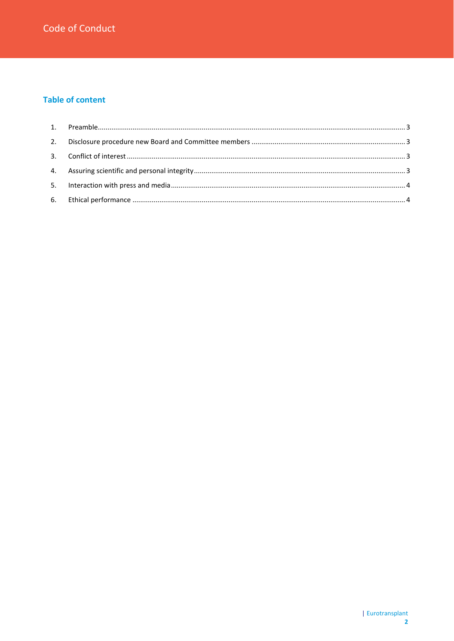## **Table of content**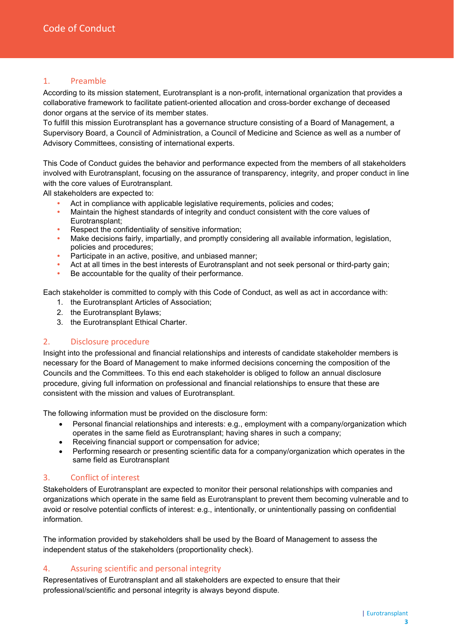## <span id="page-2-0"></span>1. Preamble

According to its mission statement, Eurotransplant is a non-profit, international organization that provides a collaborative framework to facilitate patient-oriented allocation and cross-border exchange of deceased donor organs at the service of its member states.

To fulfill this mission Eurotransplant has a governance structure consisting of a Board of Management, a Supervisory Board, a Council of Administration, a Council of Medicine and Science as well as a number of Advisory Committees, consisting of international experts.

This Code of Conduct guides the behavior and performance expected from the members of all stakeholders involved with Eurotransplant, focusing on the assurance of transparency, integrity, and proper conduct in line with the core values of Eurotransplant.

All stakeholders are expected to:

- Act in compliance with applicable legislative requirements, policies and codes;
- Maintain the highest standards of integrity and conduct consistent with the core values of Eurotransplant;
- Respect the confidentiality of sensitive information;
- Make decisions fairly, impartially, and promptly considering all available information, legislation, policies and procedures;
- Participate in an active, positive, and unbiased manner;
- Act at all times in the best interests of Eurotransplant and not seek personal or third-party gain;
- Be accountable for the quality of their performance.

Each stakeholder is committed to comply with this Code of Conduct, as well as act in accordance with:

- 1. the Eurotransplant Articles of Association;
- 2. the Eurotransplant Bylaws;
- 3. the Eurotransplant Ethical Charter.

#### <span id="page-2-1"></span>2. Disclosure procedure

Insight into the professional and financial relationships and interests of candidate stakeholder members is necessary for the Board of Management to make informed decisions concerning the composition of the Councils and the Committees. To this end each stakeholder is obliged to follow an annual disclosure procedure, giving full information on professional and financial relationships to ensure that these are consistent with the mission and values of Eurotransplant.

The following information must be provided on the disclosure form:

- Personal financial relationships and interests: e.g., employment with a company/organization which operates in the same field as Eurotransplant; having shares in such a company;
- Receiving financial support or compensation for advice;
- Performing research or presenting scientific data for a company/organization which operates in the same field as Eurotransplant

#### <span id="page-2-2"></span>3. Conflict of interest

Stakeholders of Eurotransplant are expected to monitor their personal relationships with companies and organizations which operate in the same field as Eurotransplant to prevent them becoming vulnerable and to avoid or resolve potential conflicts of interest: e.g., intentionally, or unintentionally passing on confidential information.

The information provided by stakeholders shall be used by the Board of Management to assess the independent status of the stakeholders (proportionality check).

### <span id="page-2-3"></span>4. Assuring scientific and personal integrity

Representatives of Eurotransplant and all stakeholders are expected to ensure that their professional/scientific and personal integrity is always beyond dispute.